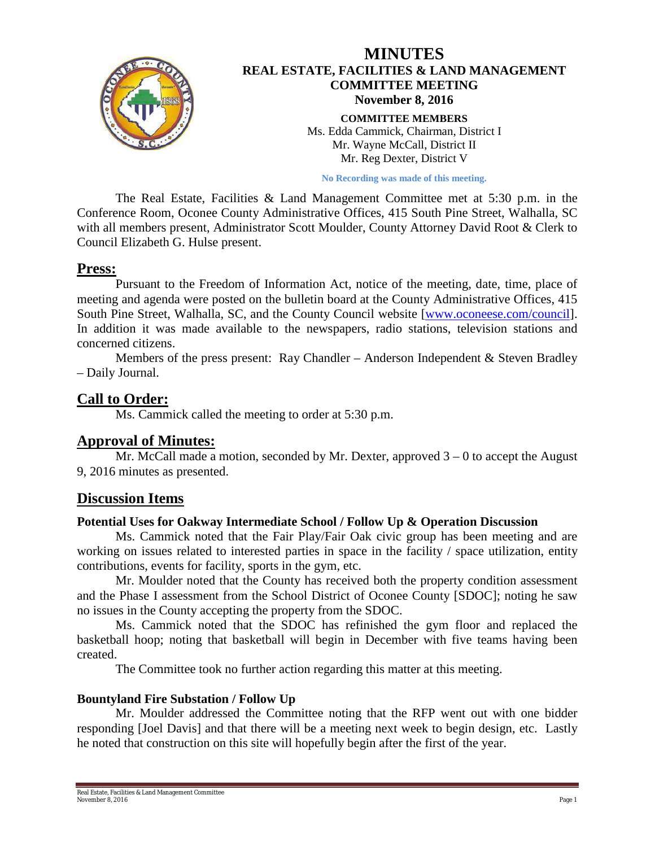

### **MINUTES REAL ESTATE, FACILITIES & LAND MANAGEMENT COMMITTEE MEETING November 8, 2016 COMMITTEE MEMBERS** Ms. Edda Cammick, Chairman, District I Mr. Wayne McCall, District II

Mr. Reg Dexter, District V

**No Recording was made of this meeting.**

The Real Estate, Facilities & Land Management Committee met at 5:30 p.m. in the Conference Room, Oconee County Administrative Offices, 415 South Pine Street, Walhalla, SC with all members present, Administrator Scott Moulder, County Attorney David Root & Clerk to Council Elizabeth G. Hulse present.

### **Press:**

Pursuant to the Freedom of Information Act, notice of the meeting, date, time, place of meeting and agenda were posted on the bulletin board at the County Administrative Offices, 415 South Pine Street, Walhalla, SC, and the County Council website [\[www.oconeese.com/council\]](http://www.oconeese.com/council). In addition it was made available to the newspapers, radio stations, television stations and concerned citizens.

Members of the press present: Ray Chandler – Anderson Independent & Steven Bradley – Daily Journal.

# **Call to Order:**

Ms. Cammick called the meeting to order at 5:30 p.m.

## **Approval of Minutes:**

Mr. McCall made a motion, seconded by Mr. Dexter, approved  $3 - 0$  to accept the August 9, 2016 minutes as presented.

## **Discussion Items**

#### **Potential Uses for Oakway Intermediate School / Follow Up & Operation Discussion**

Ms. Cammick noted that the Fair Play/Fair Oak civic group has been meeting and are working on issues related to interested parties in space in the facility / space utilization, entity contributions, events for facility, sports in the gym, etc.

Mr. Moulder noted that the County has received both the property condition assessment and the Phase I assessment from the School District of Oconee County [SDOC]; noting he saw no issues in the County accepting the property from the SDOC.

Ms. Cammick noted that the SDOC has refinished the gym floor and replaced the basketball hoop; noting that basketball will begin in December with five teams having been created.

The Committee took no further action regarding this matter at this meeting.

### **Bountyland Fire Substation / Follow Up**

Mr. Moulder addressed the Committee noting that the RFP went out with one bidder responding [Joel Davis] and that there will be a meeting next week to begin design, etc. Lastly he noted that construction on this site will hopefully begin after the first of the year.